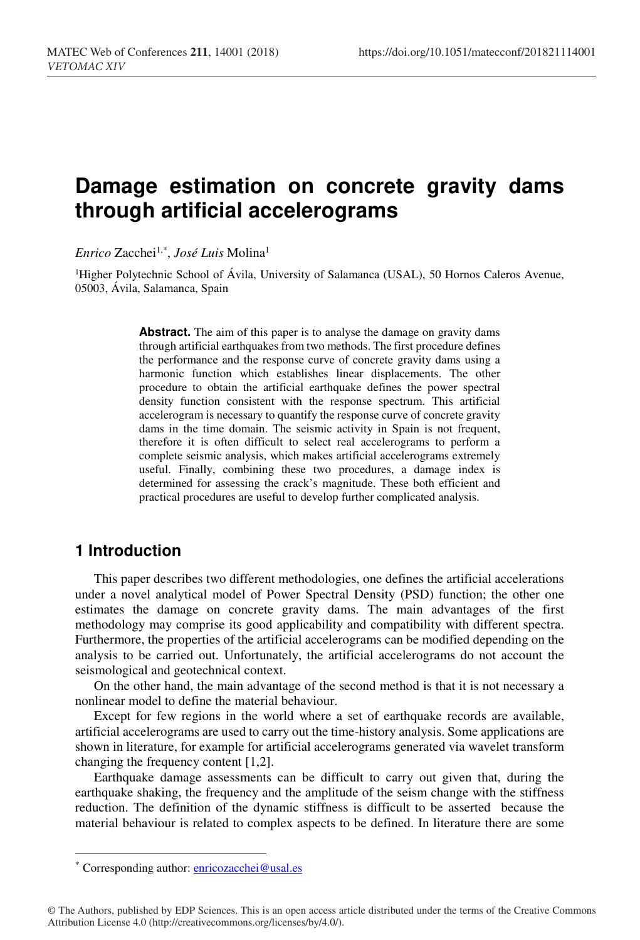# **Damage estimation on concrete gravity dams through artificial accelerograms**

*Enrico* Zacchei1,\*, *José Luis* Molina1

<sup>1</sup>Higher Polytechnic School of Ávila, University of Salamanca (USAL), 50 Hornos Caleros Avenue, 05003, Ávila, Salamanca, Spain

> **Abstract.** The aim of this paper is to analyse the damage on gravity dams through artificial earthquakes from two methods. The first procedure defines the performance and the response curve of concrete gravity dams using a harmonic function which establishes linear displacements. The other procedure to obtain the artificial earthquake defines the power spectral density function consistent with the response spectrum. This artificial accelerogram is necessary to quantify the response curve of concrete gravity dams in the time domain. The seismic activity in Spain is not frequent, therefore it is often difficult to select real accelerograms to perform a complete seismic analysis, which makes artificial accelerograms extremely useful. Finally, combining these two procedures, a damage index is determined for assessing the crack's magnitude. These both efficient and practical procedures are useful to develop further complicated analysis.

### **1 Introduction**

This paper describes two different methodologies, one defines the artificial accelerations under a novel analytical model of Power Spectral Density (PSD) function; the other one estimates the damage on concrete gravity dams. The main advantages of the first methodology may comprise its good applicability and compatibility with different spectra. Furthermore, the properties of the artificial accelerograms can be modified depending on the analysis to be carried out. Unfortunately, the artificial accelerograms do not account the seismological and geotechnical context.

On the other hand, the main advantage of the second method is that it is not necessary a nonlinear model to define the material behaviour.

Except for few regions in the world where a set of earthquake records are available, artificial accelerograms are used to carry out the time-history analysis. Some applications are shown in literature, for example for artificial accelerograms generated via wavelet transform changing the frequency content [1,2].

Earthquake damage assessments can be difficult to carry out given that, during the earthquake shaking, the frequency and the amplitude of the seism change with the stiffness reduction. The definition of the dynamic stiffness is difficult to be asserted because the material behaviour is related to complex aspects to be defined. In literature there are some

<sup>\*</sup> Corresponding author: *enricozacchei@usal.es* 

<sup>©</sup> The Authors, published by EDP Sciences. This is an open access article distributed under the terms of the Creative Commons Attribution License 4.0 (http://creativecommons.org/licenses/by/4.0/).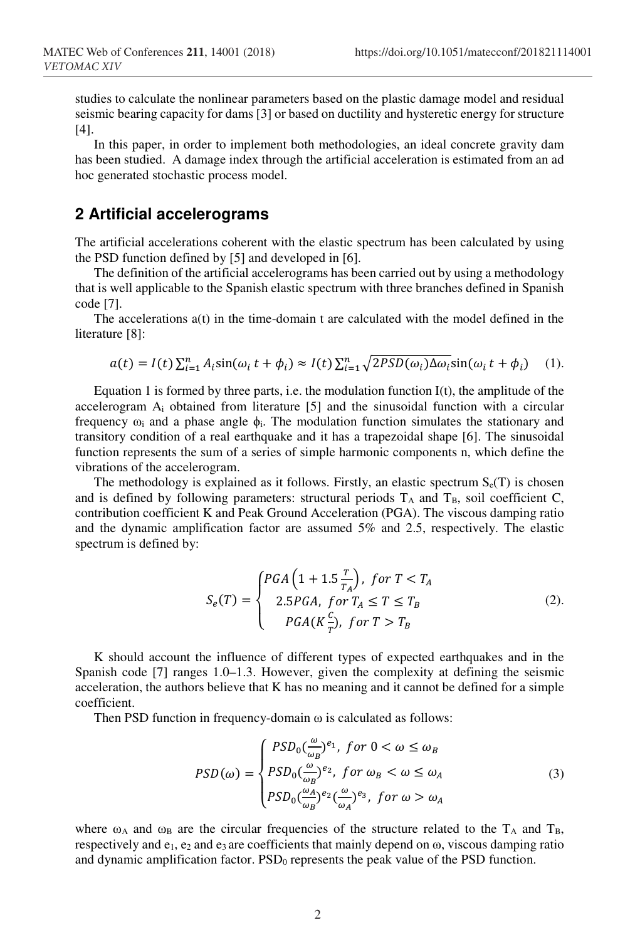studies to calculate the nonlinear parameters based on the plastic damage model and residual seismic bearing capacity for dams [3] or based on ductility and hysteretic energy for structure [4].

In this paper, in order to implement both methodologies, an ideal concrete gravity dam has been studied. A damage index through the artificial acceleration is estimated from an ad hoc generated stochastic process model.

#### **2 Artificial accelerograms**

The artificial accelerations coherent with the elastic spectrum has been calculated by using the PSD function defined by [5] and developed in [6].

The definition of the artificial accelerograms has been carried out by using a methodology that is well applicable to the Spanish elastic spectrum with three branches defined in Spanish code [7].

The accelerations a(t) in the time-domain t are calculated with the model defined in the literature [8]:

$$
a(t) = I(t) \sum_{i=1}^{n} A_i \sin(\omega_i t + \phi_i) \approx I(t) \sum_{i=1}^{n} \sqrt{2PSD(\omega_i) \Delta \omega_i} \sin(\omega_i t + \phi_i)
$$
 (1).

Equation 1 is formed by three parts, i.e. the modulation function  $I(t)$ , the amplitude of the accelerogram Ai obtained from literature [5] and the sinusoidal function with a circular frequency  $\omega_i$  and a phase angle  $\phi_i$ . The modulation function simulates the stationary and transitory condition of a real earthquake and it has a trapezoidal shape [6]. The sinusoidal function represents the sum of a series of simple harmonic components n, which define the vibrations of the accelerogram.

The methodology is explained as it follows. Firstly, an elastic spectrum  $S_e(T)$  is chosen and is defined by following parameters: structural periods  $T_A$  and  $T_B$ , soil coefficient C, contribution coefficient K and Peak Ground Acceleration (PGA). The viscous damping ratio and the dynamic amplification factor are assumed 5% and 2.5, respectively. The elastic spectrum is defined by:

$$
S_e(T) = \begin{cases} PGA\left(1 + 1.5\frac{T}{T_A}\right), & \text{for } T < T_A\\ 2.5PGA, & \text{for } T_A \le T \le T_B\\ PGA(K\frac{c}{T}), & \text{for } T > T_B \end{cases} \tag{2}.
$$

K should account the influence of different types of expected earthquakes and in the Spanish code [7] ranges 1.0–1.3. However, given the complexity at defining the seismic acceleration, the authors believe that K has no meaning and it cannot be defined for a simple coefficient.

Then PSD function in frequency-domain  $\omega$  is calculated as follows:

$$
PSD(\omega) = \begin{cases} PSD_0(\frac{\omega}{\omega_B})^{e_1}, \text{ for } 0 < \omega \le \omega_B \\ PSD_0(\frac{\omega}{\omega_B})^{e_2}, \text{ for } \omega_B < \omega \le \omega_A \\ PSD_0(\frac{\omega_A}{\omega_B})^{e_2}(\frac{\omega}{\omega_A})^{e_3}, \text{ for } \omega > \omega_A \end{cases} \tag{3}
$$

where  $\omega_A$  and  $\omega_B$  are the circular frequencies of the structure related to the T<sub>A</sub> and T<sub>B</sub>, respectively and  $e_1$ ,  $e_2$  and  $e_3$  are coefficients that mainly depend on  $\omega$ , viscous damping ratio and dynamic amplification factor.  $PSD<sub>0</sub>$  represents the peak value of the PSD function.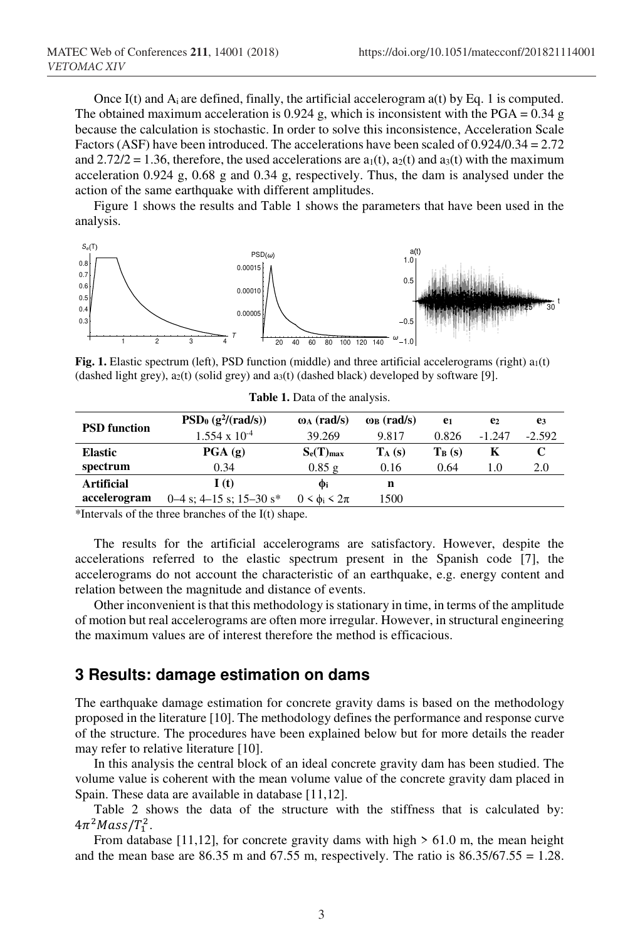Once I(t) and  $A_i$  are defined, finally, the artificial accelerogram a(t) by Eq. 1 is computed. The obtained maximum acceleration is 0.924 g, which is inconsistent with the PGA =  $0.34$  g because the calculation is stochastic. In order to solve this inconsistence, Acceleration Scale Factors (ASF) have been introduced. The accelerations have been scaled of 0.924/0.34 = 2.72 and  $2.72/2 = 1.36$ , therefore, the used accelerations are  $a_1(t)$ ,  $a_2(t)$  and  $a_3(t)$  with the maximum acceleration 0.924 g, 0.68 g and 0.34 g, respectively. Thus, the dam is analysed under the action of the same earthquake with different amplitudes.

Figure 1 shows the results and Table 1 shows the parameters that have been used in the analysis.



Fig. 1. Elastic spectrum (left), PSD function (middle) and three artificial accelerograms (right) a<sub>1</sub>(t) (dashed light grey),  $a_2(t)$  (solid grey) and  $a_3(t)$  (dashed black) developed by software [9].

| <b>PSD</b> function | $PSD_0(g^2/(rad/s))$          | $\omega_A$ (rad/s)        | $\omega_B$ (rad/s) | e <sub>1</sub> | e <sub>2</sub> | e3       |
|---------------------|-------------------------------|---------------------------|--------------------|----------------|----------------|----------|
|                     | $1.554 \times 10^{-4}$        | 39.269                    | 9.817              | 0.826          | $-1.247$       | $-2.592$ |
| <b>Elastic</b>      | $\overline{PGA}(g)$           | $S_e(T)_{max}$            | $T_A(s)$           | $T_B(s)$       | Κ              |          |
| spectrum            | 0.34                          | 0.85g                     | 0.16               | 0.64           | 1.0            | 2.0      |
| Artificial          | I(t)                          | Фi                        | n                  |                |                |          |
| accelerogram        | $0-4$ s; $4-15$ s; $15-30$ s* | $0 \leq \phi_i \leq 2\pi$ | 1500               |                |                |          |

**Table 1.** Data of the analysis.

\*Intervals of the three branches of the I(t) shape.

The results for the artificial accelerograms are satisfactory. However, despite the accelerations referred to the elastic spectrum present in the Spanish code [7], the accelerograms do not account the characteristic of an earthquake, e.g. energy content and relation between the magnitude and distance of events.

Other inconvenient is that this methodology is stationary in time, in terms of the amplitude of motion but real accelerograms are often more irregular. However, in structural engineering the maximum values are of interest therefore the method is efficacious.

## **3 Results: damage estimation on dams**

The earthquake damage estimation for concrete gravity dams is based on the methodology proposed in the literature [10]. The methodology defines the performance and response curve of the structure. The procedures have been explained below but for more details the reader may refer to relative literature [10].

In this analysis the central block of an ideal concrete gravity dam has been studied. The volume value is coherent with the mean volume value of the concrete gravity dam placed in Spain. These data are available in database [11,12].

Table 2 shows the data of the structure with the stiffness that is calculated by:  $4\pi^{2}$ *Mass*/ $T_{1}^{2}$ .

From database [11,12], for concrete gravity dams with high  $> 61.0$  m, the mean height and the mean base are  $86.35$  m and  $67.55$  m, respectively. The ratio is  $86.35/67.55 = 1.28$ .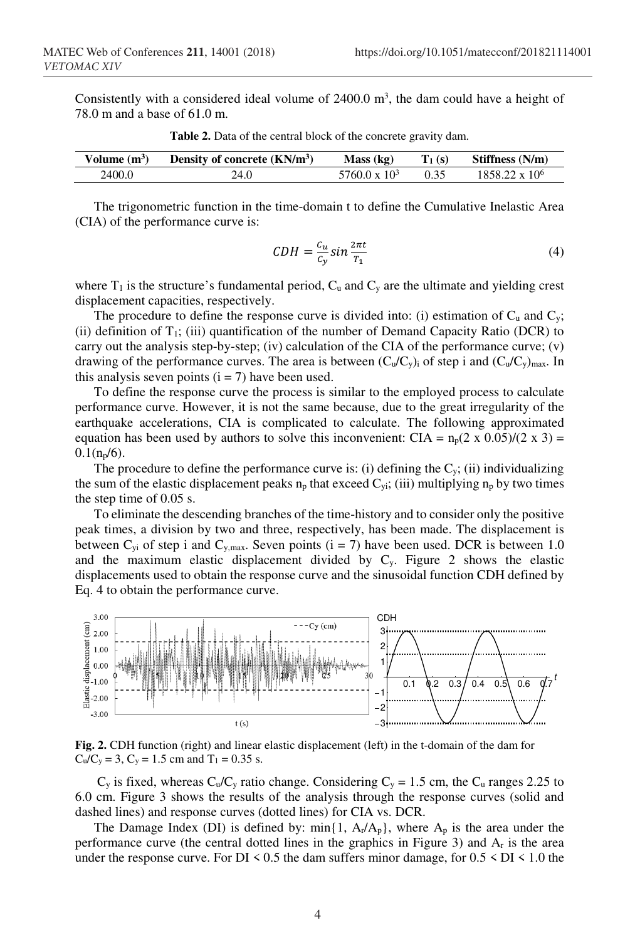Consistently with a considered ideal volume of  $2400.0 \text{ m}^3$ , the dam could have a height of 78.0 m and a base of 61.0 m.

| Volume $(m^3)$ | Density of concrete $(KN/m3)$ | Mass (kg)            | $T_1(s)$ | Stiffness (N/m)       |
|----------------|-------------------------------|----------------------|----------|-----------------------|
| 2400.0         | 24.0                          | $5760.0 \times 10^3$ | 0.35     | $1858.22 \times 10^6$ |
|                |                               |                      |          |                       |

**Table 2.** Data of the central block of the concrete gravity dam.

The trigonometric function in the time-domain t to define the Cumulative Inelastic Area (CIA) of the performance curve is:

$$
CDH = \frac{c_u}{c_y} \sin \frac{2\pi t}{T_1} \tag{4}
$$

where  $T_1$  is the structure's fundamental period,  $C_u$  and  $C_v$  are the ultimate and yielding crest displacement capacities, respectively.

The procedure to define the response curve is divided into: (i) estimation of  $C_u$  and  $C_v$ ; (ii) definition of  $T_1$ ; (iii) quantification of the number of Demand Capacity Ratio (DCR) to carry out the analysis step-by-step; (iv) calculation of the CIA of the performance curve; (v) drawing of the performance curves. The area is between  $(C_u/C_v)$  of step i and  $(C_u/C_v)_{max}$ . In this analysis seven points  $(i = 7)$  have been used.

To define the response curve the process is similar to the employed process to calculate performance curve. However, it is not the same because, due to the great irregularity of the earthquake accelerations, CIA is complicated to calculate. The following approximated equation has been used by authors to solve this inconvenient: CIA =  $n_p(2 \times 0.05)/(2 \times 3)$  =  $0.1(n_p/6)$ .

The procedure to define the performance curve is: (i) defining the  $C<sub>y</sub>$ ; (ii) individualizing the sum of the elastic displacement peaks  $n_p$  that exceed  $C_{vi}$ ; (iii) multiplying  $n_p$  by two times the step time of 0.05 s.

To eliminate the descending branches of the time-history and to consider only the positive peak times, a division by two and three, respectively, has been made. The displacement is between  $C_{yi}$  of step i and  $C_{y, max}$ . Seven points (i = 7) have been used. DCR is between 1.0 and the maximum elastic displacement divided by Cy. Figure 2 shows the elastic displacements used to obtain the response curve and the sinusoidal function CDH defined by Eq. 4 to obtain the performance curve.



**Fig. 2.** CDH function (right) and linear elastic displacement (left) in the t-domain of the dam for  $C_u/C_y = 3$ ,  $C_y = 1.5$  cm and  $T_1 = 0.35$  s.

 $C_v$  is fixed, whereas  $C_u/C_v$  ratio change. Considering  $C_v = 1.5$  cm, the  $C_u$  ranges 2.25 to 6.0 cm. Figure 3 shows the results of the analysis through the response curves (solid and dashed lines) and response curves (dotted lines) for CIA vs. DCR.

The Damage Index (DI) is defined by:  $\min\{1, A_r/A_p\}$ , where  $A_p$  is the area under the performance curve (the central dotted lines in the graphics in Figure 3) and Ar is the area under the response curve. For DI  $\leq 0.5$  the dam suffers minor damage, for  $0.5 \leq$  DI  $\leq 1.0$  the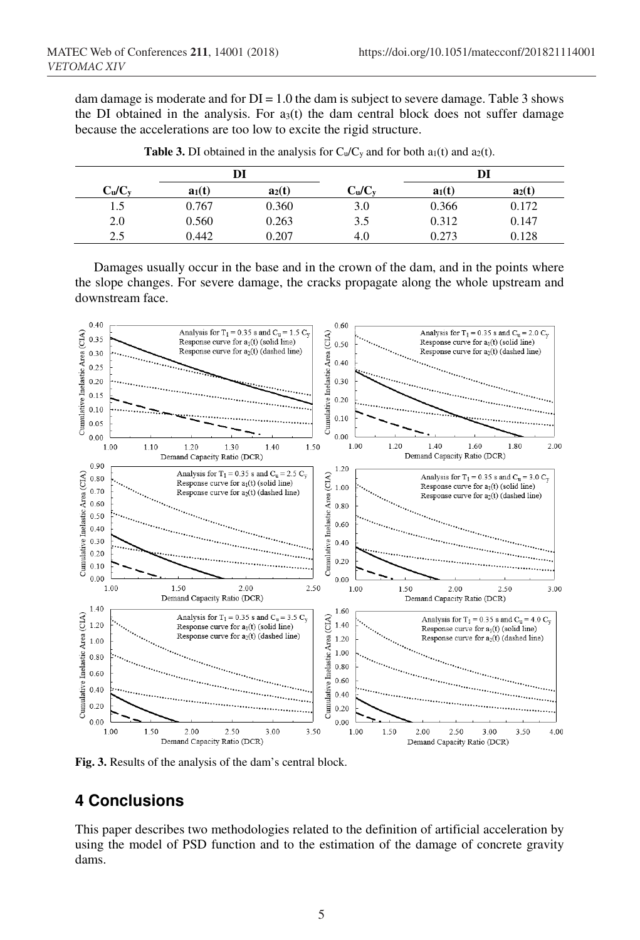dam damage is moderate and for  $DI = 1.0$  the dam is subject to severe damage. Table 3 shows the DI obtained in the analysis. For  $a_3(t)$  the dam central block does not suffer damage because the accelerations are too low to excite the rigid structure.

|                                | DI       |          |                                | DI       |          |
|--------------------------------|----------|----------|--------------------------------|----------|----------|
| C <sub>u</sub> /C <sub>v</sub> | $a_1(t)$ | $a_2(t)$ | C <sub>u</sub> /C <sub>v</sub> | $a_1(t)$ | $a_2(t)$ |
| 1.5                            | 0.767    | 0.360    | 3.0                            | 0.366    | 0.172    |
| 2.0                            | 0.560    | 0.263    | 3.5                            | 0.312    | 0.147    |
| 2.5                            | 0.442    | 0.207    | 4.0                            | 0.273    | 0.128    |

**Table 3.** DI obtained in the analysis for  $C_u/C_y$  and for both  $a_1(t)$  and  $a_2(t)$ .

Damages usually occur in the base and in the crown of the dam, and in the points where the slope changes. For severe damage, the cracks propagate along the whole upstream and downstream face.



**Fig. 3.** Results of the analysis of the dam's central block.

## **4 Conclusions**

This paper describes two methodologies related to the definition of artificial acceleration by using the model of PSD function and to the estimation of the damage of concrete gravity dams.